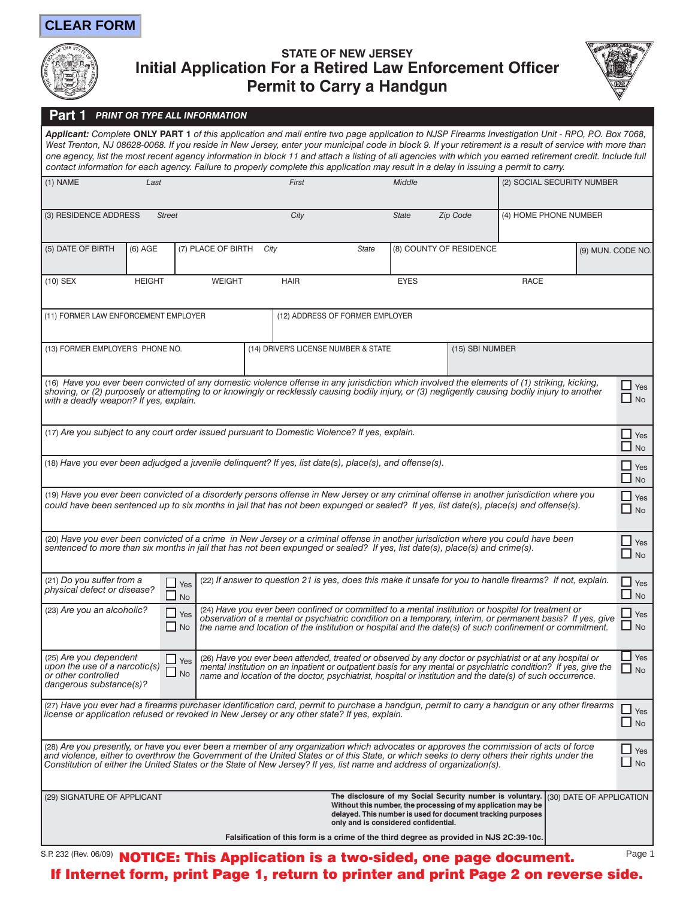## **CLEAR FORM**



## **STATE OF NEW JERSEY Initial Application For a Retired Law Enforcement Officer Permit to Carry a Handgun**



## **Part 1** *PRINT OR TYPE ALL INFORMATION*

*Applicant: Complete* **ONLY PART 1** *of this application and mail entire two page application to NJSP Firearms Investigation Unit - RPO, P.O. Box 7068,*  West Trenton, NJ 08628-0068. If you reside in New Jersey, enter your municipal code in block 9. If your retirement is a result of service with more than one agency, list the most recent agency information in block 11 and attach a listing of all agencies with which you earned retirement credit. Include full *contact information for each agency. Failure to properly complete this application may result in a delay in issuing a permit to carry.*

| $(1)$ NAME                                                                                                                                                                                                                                                                                                                                                                                                       | Last                                                                                                                                                                                                                                                                                                                                                                                                                                                  |                    | First                                                   |       | Middle                  |                         | (2) SOCIAL SECURITY NUMBER   |                   |                         |
|------------------------------------------------------------------------------------------------------------------------------------------------------------------------------------------------------------------------------------------------------------------------------------------------------------------------------------------------------------------------------------------------------------------|-------------------------------------------------------------------------------------------------------------------------------------------------------------------------------------------------------------------------------------------------------------------------------------------------------------------------------------------------------------------------------------------------------------------------------------------------------|--------------------|---------------------------------------------------------|-------|-------------------------|-------------------------|------------------------------|-------------------|-------------------------|
| (3) RESIDENCE ADDRESS                                                                                                                                                                                                                                                                                                                                                                                            | <b>Street</b>                                                                                                                                                                                                                                                                                                                                                                                                                                         |                    | City                                                    |       | <b>State</b>            | <b>Zip Code</b>         | (4) HOME PHONE NUMBER        |                   |                         |
| (5) DATE OF BIRTH                                                                                                                                                                                                                                                                                                                                                                                                | $(6)$ AGE                                                                                                                                                                                                                                                                                                                                                                                                                                             | (7) PLACE OF BIRTH | City                                                    | State |                         | (8) COUNTY OF RESIDENCE |                              | (9) MUN. CODE NO. |                         |
| $(10)$ SEX                                                                                                                                                                                                                                                                                                                                                                                                       | <b>HEIGHT</b>                                                                                                                                                                                                                                                                                                                                                                                                                                         | <b>WEIGHT</b>      | <b>HAIR</b>                                             |       | <b>EYES</b>             |                         | <b>RACE</b>                  |                   |                         |
| (11) FORMER LAW ENFORCEMENT EMPLOYER<br>(12) ADDRESS OF FORMER EMPLOYER                                                                                                                                                                                                                                                                                                                                          |                                                                                                                                                                                                                                                                                                                                                                                                                                                       |                    |                                                         |       |                         |                         |                              |                   |                         |
| (13) FORMER EMPLOYER'S PHONE NO.                                                                                                                                                                                                                                                                                                                                                                                 |                                                                                                                                                                                                                                                                                                                                                                                                                                                       |                    | (14) DRIVER'S LICENSE NUMBER & STATE<br>(15) SBI NUMBER |       |                         |                         |                              |                   |                         |
| (16) Have you ever been convicted of any domestic violence offense in any jurisdiction which involved the elements of (1) striking, kicking,<br>shoving, or (2) purposely or attempting to or knowingly or recklessly causing bodily injury, or (3) negligently causing bodily injury to another<br>with a deadly weapon? If yes, explain.                                                                       |                                                                                                                                                                                                                                                                                                                                                                                                                                                       |                    |                                                         |       |                         |                         |                              |                   | $\Box$ Yes<br>No        |
| (17) Are you subject to any court order issued pursuant to Domestic Violence? If yes, explain.                                                                                                                                                                                                                                                                                                                   |                                                                                                                                                                                                                                                                                                                                                                                                                                                       |                    |                                                         |       |                         |                         | $\Box$ Yes<br><b>No</b>      |                   |                         |
| (18) Have you ever been adjudged a juvenile delinguent? If yes, list date(s), place(s), and offense(s).                                                                                                                                                                                                                                                                                                          |                                                                                                                                                                                                                                                                                                                                                                                                                                                       |                    |                                                         |       |                         |                         | $\Box$ Yes<br>No             |                   |                         |
| (19) Have you ever been convicted of a disorderly persons offense in New Jersey or any criminal offense in another jurisdiction where you<br>could have been sentenced up to six months in jail that has not been expunged or sealed? If yes, list date(s), place(s) and offense(s).                                                                                                                             |                                                                                                                                                                                                                                                                                                                                                                                                                                                       |                    |                                                         |       |                         |                         |                              |                   | $\Box$ Yes<br>No        |
| (20) Have you ever been convicted of a crime in New Jersey or a criminal offense in another jurisdiction where you could have been<br>sentenced to more than six months in jail that has not been expunged or sealed? If yes, list date(s), place(s) and crime(s).                                                                                                                                               |                                                                                                                                                                                                                                                                                                                                                                                                                                                       |                    |                                                         |       |                         |                         | $\Box$ Yes<br>$\Box$ No      |                   |                         |
| (21) Do you suffer from a                                                                                                                                                                                                                                                                                                                                                                                        | (22) If answer to question 21 is yes, does this make it unsafe for you to handle firearms? If not, explain.<br>ப<br>Yes<br>physical defect or disease?<br>□<br>No                                                                                                                                                                                                                                                                                     |                    |                                                         |       | $\Box$ Yes<br>$\Box$ No |                         |                              |                   |                         |
|                                                                                                                                                                                                                                                                                                                                                                                                                  | (24) Have you ever been confined or committed to a mental institution or hospital for treatment or<br>(23) Are you an alcoholic?<br>$\Box$ Yes<br>observation of a mental or psychiatric condition on a temporary, interim, or permanent basis? If yes, give<br>$\Box$ No<br>the name and location of the institution or hospital and the date(s) of such confinement or commitment.                                                                  |                    |                                                         |       |                         | Yes<br><b>No</b>        |                              |                   |                         |
| or other controlled                                                                                                                                                                                                                                                                                                                                                                                              | (25) Are you dependent<br>(26) Have you ever been attended, treated or observed by any doctor or psychiatrist or at any hospital or<br>$\Box$ Yes<br>upon the use of a narcotic(s)<br>mental institution on an inpatient or outpatient basis for any mental or psychiatric condition? If yes, give the<br>No<br>name and location of the doctor, psychiatrist, hospital or institution and the date(s) of such occurrence.<br>dangerous substance(s)? |                    |                                                         |       |                         |                         | $\Box$ Yes<br>□<br><b>No</b> |                   |                         |
| (27) Have you ever had a firearms purchaser identification card, permit to purchase a handgun, permit to carry a handgun or any other firearms<br>license or application refused or revoked in New Jersey or any other state? If yes, explain.                                                                                                                                                                   |                                                                                                                                                                                                                                                                                                                                                                                                                                                       |                    |                                                         |       |                         |                         |                              |                   | $\Box$ Yes<br>$\Box$ No |
| (28) Are you presently, or have you ever been a member of any organization which advocates or approves the commission of acts of force<br>and violence, either to overthrow the Government of the United States or of this State, or which seeks to deny others their rights under the<br>Constitution of either the United States or the State of New Jersey? If yes, list name and address of organization(s). |                                                                                                                                                                                                                                                                                                                                                                                                                                                       |                    |                                                         |       |                         |                         |                              |                   | $\Box$ Yes<br><b>No</b> |
| (30) DATE OF APPLICATION<br>The disclosure of my Social Security number is voluntary.<br>(29) SIGNATURE OF APPLICANT<br>Without this number, the processing of my application may be<br>delayed. This number is used for document tracking purposes<br>only and is considered confidential.                                                                                                                      |                                                                                                                                                                                                                                                                                                                                                                                                                                                       |                    |                                                         |       |                         |                         |                              |                   |                         |
| Falsification of this form is a crime of the third degree as provided in NJS 2C:39-10c.                                                                                                                                                                                                                                                                                                                          |                                                                                                                                                                                                                                                                                                                                                                                                                                                       |                    |                                                         |       |                         |                         |                              |                   |                         |

S.P. 232 (Rev. 06/09) <code>NOTICE: This Application</code> is a two-sided, one page document. If Internet form, print Page 1, return to printer and print Page 2 on reverse side. Page 1